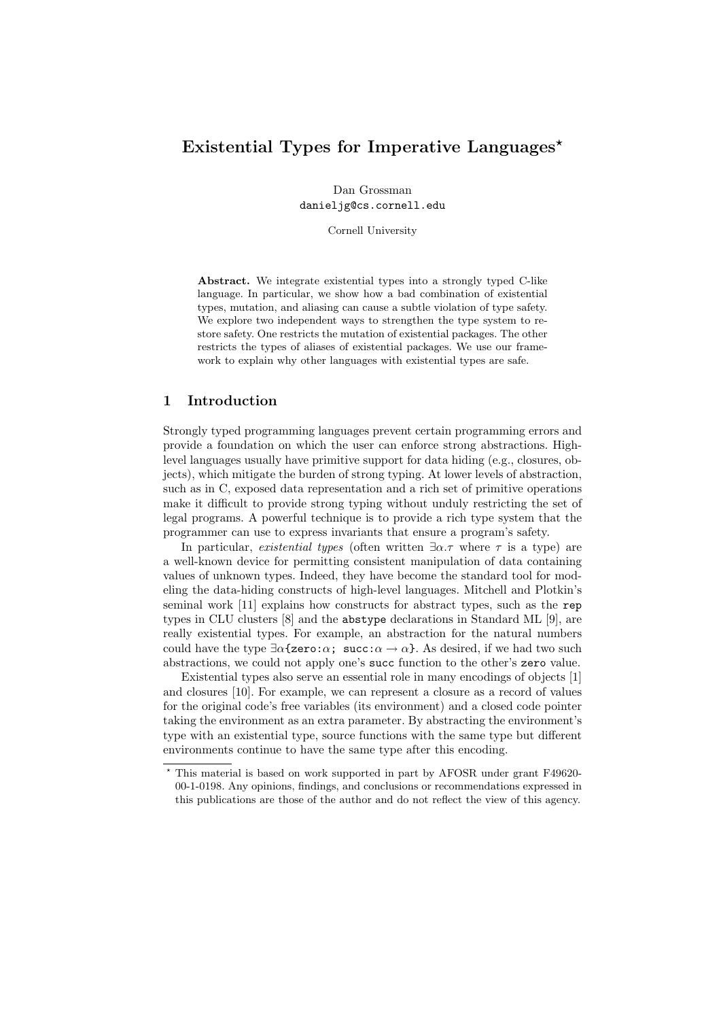# Existential Types for Imperative Languages<sup>\*</sup>

Dan Grossman danieljg@cs.cornell.edu

Cornell University

Abstract. We integrate existential types into a strongly typed C-like language. In particular, we show how a bad combination of existential types, mutation, and aliasing can cause a subtle violation of type safety. We explore two independent ways to strengthen the type system to restore safety. One restricts the mutation of existential packages. The other restricts the types of aliases of existential packages. We use our framework to explain why other languages with existential types are safe.

## 1 Introduction

Strongly typed programming languages prevent certain programming errors and provide a foundation on which the user can enforce strong abstractions. Highlevel languages usually have primitive support for data hiding (e.g., closures, objects), which mitigate the burden of strong typing. At lower levels of abstraction, such as in C, exposed data representation and a rich set of primitive operations make it difficult to provide strong typing without unduly restricting the set of legal programs. A powerful technique is to provide a rich type system that the programmer can use to express invariants that ensure a program's safety.

In particular, existential types (often written  $\exists \alpha.\tau$  where  $\tau$  is a type) are a well-known device for permitting consistent manipulation of data containing values of unknown types. Indeed, they have become the standard tool for modeling the data-hiding constructs of high-level languages. Mitchell and Plotkin's seminal work [11] explains how constructs for abstract types, such as the rep types in CLU clusters [8] and the abstype declarations in Standard ML [9], are really existential types. For example, an abstraction for the natural numbers could have the type  $\exists \alpha \{ {\sf zero} : \alpha; {\sf succ} : \alpha \to \alpha \}.$  As desired, if we had two such abstractions, we could not apply one's succ function to the other's zero value.

Existential types also serve an essential role in many encodings of objects [1] and closures [10]. For example, we can represent a closure as a record of values for the original code's free variables (its environment) and a closed code pointer taking the environment as an extra parameter. By abstracting the environment's type with an existential type, source functions with the same type but different environments continue to have the same type after this encoding.

<sup>?</sup> This material is based on work supported in part by AFOSR under grant F49620- 00-1-0198. Any opinions, findings, and conclusions or recommendations expressed in this publications are those of the author and do not reflect the view of this agency.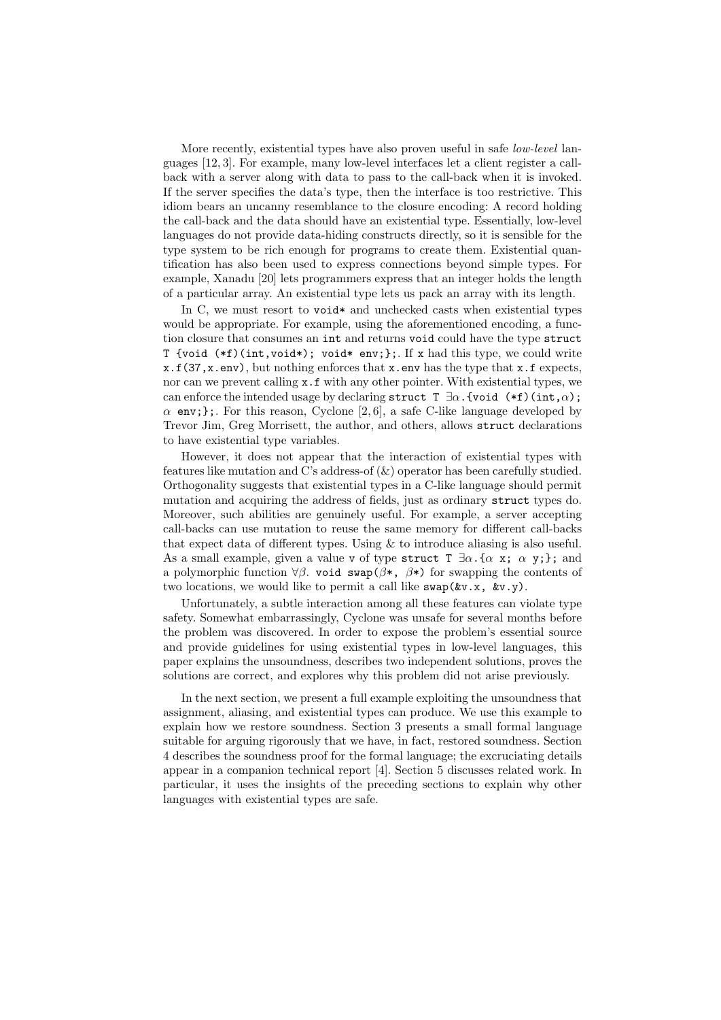More recently, existential types have also proven useful in safe *low-level* languages [12, 3]. For example, many low-level interfaces let a client register a callback with a server along with data to pass to the call-back when it is invoked. If the server specifies the data's type, then the interface is too restrictive. This idiom bears an uncanny resemblance to the closure encoding: A record holding the call-back and the data should have an existential type. Essentially, low-level languages do not provide data-hiding constructs directly, so it is sensible for the type system to be rich enough for programs to create them. Existential quantification has also been used to express connections beyond simple types. For example, Xanadu [20] lets programmers express that an integer holds the length of a particular array. An existential type lets us pack an array with its length.

In C, we must resort to void\* and unchecked casts when existential types would be appropriate. For example, using the aforementioned encoding, a function closure that consumes an int and returns void could have the type struct T {void  $(*f)(int, void*)$ ; void\* env; };. If x had this type, we could write  $x.f(37, x.env)$ , but nothing enforces that  $x.env$  has the type that  $x.f$  expects, nor can we prevent calling  $x \cdot f$  with any other pointer. With existential types, we can enforce the intended usage by declaring struct  $T \exists \alpha$ . {void  $(*f)(int, \alpha)$ ;  $\alpha$  env; };. For this reason, Cyclone [2, 6], a safe C-like language developed by Trevor Jim, Greg Morrisett, the author, and others, allows struct declarations to have existential type variables.

However, it does not appear that the interaction of existential types with features like mutation and C's address-of (&) operator has been carefully studied. Orthogonality suggests that existential types in a C-like language should permit mutation and acquiring the address of fields, just as ordinary struct types do. Moreover, such abilities are genuinely useful. For example, a server accepting call-backs can use mutation to reuse the same memory for different call-backs that expect data of different types. Using & to introduce aliasing is also useful. As a small example, given a value v of type struct  $T \exists \alpha \cdot {\alpha x; \alpha y;}$ ; and a polymorphic function  $\forall \beta$ . void swap $(\beta^*, \beta^*)$  for swapping the contents of two locations, we would like to permit a call like  $swap(\&v.x, \&v.y)$ .

Unfortunately, a subtle interaction among all these features can violate type safety. Somewhat embarrassingly, Cyclone was unsafe for several months before the problem was discovered. In order to expose the problem's essential source and provide guidelines for using existential types in low-level languages, this paper explains the unsoundness, describes two independent solutions, proves the solutions are correct, and explores why this problem did not arise previously.

In the next section, we present a full example exploiting the unsoundness that assignment, aliasing, and existential types can produce. We use this example to explain how we restore soundness. Section 3 presents a small formal language suitable for arguing rigorously that we have, in fact, restored soundness. Section 4 describes the soundness proof for the formal language; the excruciating details appear in a companion technical report [4]. Section 5 discusses related work. In particular, it uses the insights of the preceding sections to explain why other languages with existential types are safe.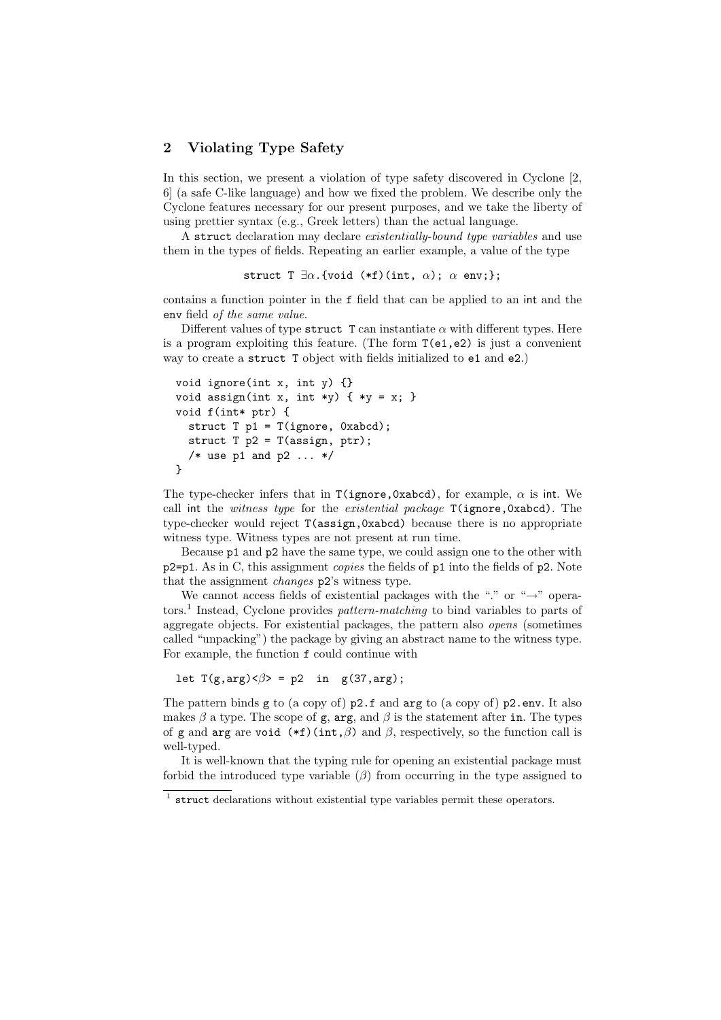## 2 Violating Type Safety

In this section, we present a violation of type safety discovered in Cyclone [2, 6] (a safe C-like language) and how we fixed the problem. We describe only the Cyclone features necessary for our present purposes, and we take the liberty of using prettier syntax (e.g., Greek letters) than the actual language.

A struct declaration may declare existentially-bound type variables and use them in the types of fields. Repeating an earlier example, a value of the type

```
struct T \exists \alpha. {void (*f)(int, \alpha); \alpha env;};
```
contains a function pointer in the f field that can be applied to an int and the env field of the same value.

Different values of type struct T can instantiate  $\alpha$  with different types. Here is a program exploiting this feature. (The form  $T(e_1,e_2)$ ) is just a convenient way to create a struct T object with fields initialized to e1 and e2.)

```
void ignore(int x, int y) {}
void assign(int x, int *y) { *y = x; }
void f(int* ptr) {
 struct T p1 = T(ignore, 0xabcd);
 struct T p2 = T(assign, ptr);/* use p1 and p2 ... */}
```
The type-checker infers that in T(ignore, 0xabcd), for example,  $\alpha$  is int. We call int the witness type for the existential package T(ignore, 0xabcd). The type-checker would reject T(assign,0xabcd) because there is no appropriate witness type. Witness types are not present at run time.

Because p1 and p2 have the same type, we could assign one to the other with  $p2=p1$ . As in C, this assignment *copies* the fields of  $p1$  into the fields of  $p2$ . Note that the assignment changes p2's witness type.

We cannot access fields of existential packages with the "." or " $\rightarrow$ " operators.<sup>1</sup> Instead, Cyclone provides *pattern-matching* to bind variables to parts of aggregate objects. For existential packages, the pattern also opens (sometimes called "unpacking") the package by giving an abstract name to the witness type. For example, the function f could continue with

```
let T(g,arg)<\beta> = p2 in g(37,arg);
```
The pattern binds  $g$  to (a copy of)  $p2.f$  and  $arg$  to (a copy of)  $p2.\text{env}$ . It also makes  $\beta$  a type. The scope of g, arg, and  $\beta$  is the statement after in. The types of g and arg are void  $(*f)(int,\beta)$  and  $\beta$ , respectively, so the function call is well-typed.

It is well-known that the typing rule for opening an existential package must forbid the introduced type variable  $(\beta)$  from occurring in the type assigned to

<sup>&</sup>lt;sup>1</sup> struct declarations without existential type variables permit these operators.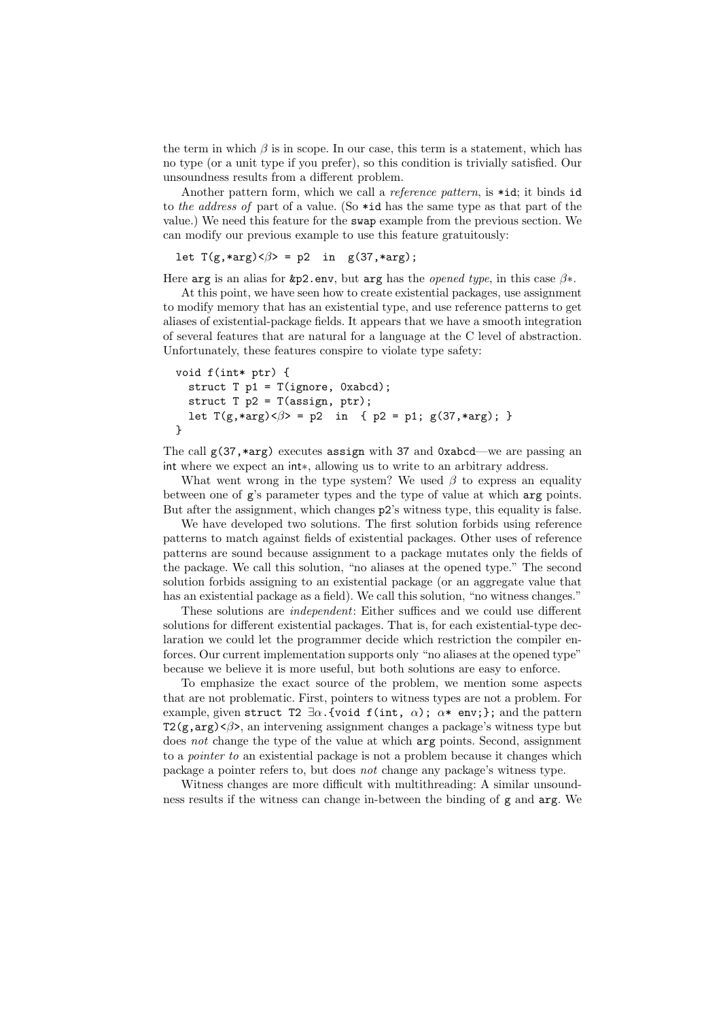the term in which  $\beta$  is in scope. In our case, this term is a statement, which has no type (or a unit type if you prefer), so this condition is trivially satisfied. Our unsoundness results from a different problem.

Another pattern form, which we call a *reference pattern*, is \*id; it binds id to the address of part of a value. (So  $\ast$ id has the same type as that part of the value.) We need this feature for the swap example from the previous section. We can modify our previous example to use this feature gratuitously:

let  $T(g, *arg) < \beta > = p2$  in  $g(37, *arg)$ ;

Here arg is an alias for  $\&p2.$ env, but arg has the *opened type*, in this case  $\beta *$ .

At this point, we have seen how to create existential packages, use assignment to modify memory that has an existential type, and use reference patterns to get aliases of existential-package fields. It appears that we have a smooth integration of several features that are natural for a language at the C level of abstraction. Unfortunately, these features conspire to violate type safety:

```
void f(int* ptr) {
  struct T p1 = T(ignore, 0xabcd);
  struct T p2 = T(assign, ptr);
  let T(g, *arg) \le \beta > = p2 in { p2 = p1; g(37, *arg); }
}
```
The call  $g(37, *arg)$  executes assign with 37 and 0xabcd—we are passing an int where we expect an int∗, allowing us to write to an arbitrary address.

What went wrong in the type system? We used  $\beta$  to express an equality between one of g's parameter types and the type of value at which arg points. But after the assignment, which changes p2's witness type, this equality is false.

We have developed two solutions. The first solution forbids using reference patterns to match against fields of existential packages. Other uses of reference patterns are sound because assignment to a package mutates only the fields of the package. We call this solution, "no aliases at the opened type." The second solution forbids assigning to an existential package (or an aggregate value that has an existential package as a field). We call this solution, "no witness changes."

These solutions are independent: Either suffices and we could use different solutions for different existential packages. That is, for each existential-type declaration we could let the programmer decide which restriction the compiler enforces. Our current implementation supports only "no aliases at the opened type" because we believe it is more useful, but both solutions are easy to enforce.

To emphasize the exact source of the problem, we mention some aspects that are not problematic. First, pointers to witness types are not a problem. For example, given struct T2  $\exists \alpha$ . {void f(int,  $\alpha$ );  $\alpha^*$  env;}; and the pattern  $T2(g, \text{arg}) \leq \beta$ , an intervening assignment changes a package's witness type but does not change the type of the value at which arg points. Second, assignment to a pointer to an existential package is not a problem because it changes which package a pointer refers to, but does not change any package's witness type.

Witness changes are more difficult with multithreading: A similar unsoundness results if the witness can change in-between the binding of g and arg. We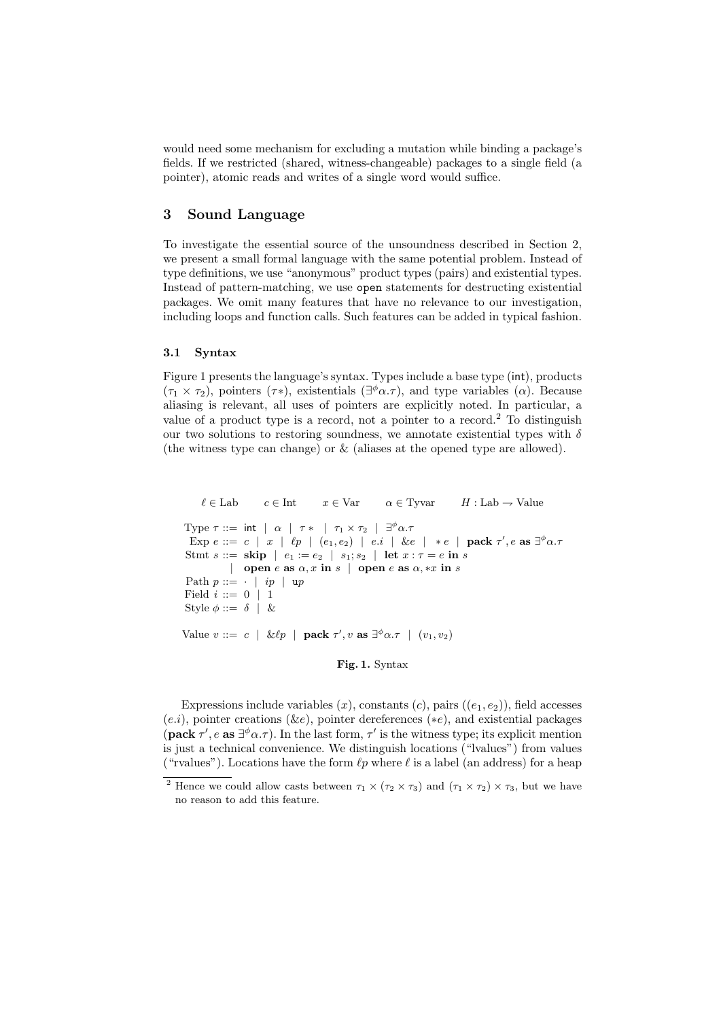would need some mechanism for excluding a mutation while binding a package's fields. If we restricted (shared, witness-changeable) packages to a single field (a pointer), atomic reads and writes of a single word would suffice.

## 3 Sound Language

To investigate the essential source of the unsoundness described in Section 2, we present a small formal language with the same potential problem. Instead of type definitions, we use "anonymous" product types (pairs) and existential types. Instead of pattern-matching, we use open statements for destructing existential packages. We omit many features that have no relevance to our investigation, including loops and function calls. Such features can be added in typical fashion.

### 3.1 Syntax

Figure 1 presents the language's syntax. Types include a base type (int), products  $(\tau_1 \times \tau_2)$ , pointers  $(\tau_*)$ , existentials  $(\exists^{\phi}\alpha.\tau)$ , and type variables  $(\alpha)$ . Because aliasing is relevant, all uses of pointers are explicitly noted. In particular, a value of a product type is a record, not a pointer to a record.<sup>2</sup> To distinguish our two solutions to restoring soundness, we annotate existential types with  $\delta$ (the witness type can change) or & (aliases at the opened type are allowed).

 $\ell \in \text{Lab}$  c ∈ Int  $x \in \text{Var}$   $\alpha \in \text{Tyvar}$  H : Lab  $\rightarrow$  Value Type  $\tau ::= \mathsf{int} \mid \alpha \mid \tau * \mid \tau_1 \times \tau_2 \mid \exists^{\phi} \alpha.\tau$  $\text{Exp } e ::= c \mid x \mid \ell p \mid (e_1, e_2) \mid e.i \mid \& e \mid * e \mid \textbf{pack } \tau', e \textbf{ as } \exists^{\phi} \alpha. \tau'$ Stmt  $s ::=$  skip  $\vert e_1 := e_2 \vert s_1; s_2 \vert$  let  $x : \tau = e$  in s | open  $e$  as  $\alpha$ ,  $x$  in  $s$  | open  $e$  as  $\alpha$ ,  $*x$  in  $s$ Path  $p ::= \cdot | ip | \cdot \textbf{u}$ Field  $i ::= 0 \mid 1$ Style  $\phi ::= \delta \mid \&$ Value  $v ::= c \mid \&\ell p \mid \textbf{pack} \tau', v \textbf{ as } \exists^{\phi} \alpha.\tau \mid (v_1, v_2)$ 

Fig. 1. Syntax

Expressions include variables  $(x)$ , constants  $(c)$ , pairs  $((e_1, e_2))$ , field accesses  $(e.i)$ , pointer creations (&e), pointer dereferences ( $*e$ ), and existential packages (pack  $\tau'$ , e as  $\exists^{\phi} \alpha \tau$ ). In the last form,  $\tau'$  is the witness type; its explicit mention is just a technical convenience. We distinguish locations ("lvalues") from values ("rvalues"). Locations have the form  $\ell p$  where  $\ell$  is a label (an address) for a heap

<sup>&</sup>lt;sup>2</sup> Hence we could allow casts between  $\tau_1 \times (\tau_2 \times \tau_3)$  and  $(\tau_1 \times \tau_2) \times \tau_3$ , but we have no reason to add this feature.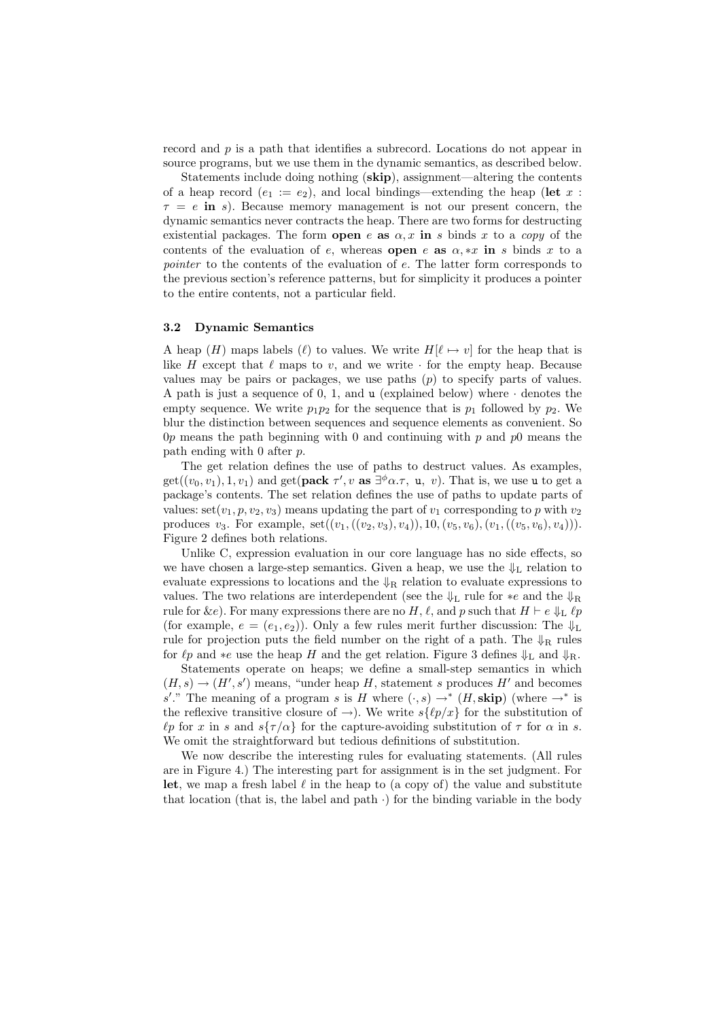record and  $p$  is a path that identifies a subrecord. Locations do not appear in source programs, but we use them in the dynamic semantics, as described below.

Statements include doing nothing (skip), assignment—altering the contents of a heap record  $(e_1 := e_2)$ , and local bindings—extending the heap (let x:  $\tau = e$  in s). Because memory management is not our present concern, the dynamic semantics never contracts the heap. There are two forms for destructing existential packages. The form **open** e as  $\alpha$ , x in s binds x to a copy of the contents of the evaluation of e, whereas **open** e as  $\alpha, *x$  in s binds x to a pointer to the contents of the evaluation of e. The latter form corresponds to the previous section's reference patterns, but for simplicity it produces a pointer to the entire contents, not a particular field.

### 3.2 Dynamic Semantics

A heap (H) maps labels ( $\ell$ ) to values. We write  $H[\ell \mapsto v]$  for the heap that is like H except that  $\ell$  maps to v, and we write  $\cdot$  for the empty heap. Because values may be pairs or packages, we use paths  $(p)$  to specify parts of values. A path is just a sequence of 0, 1, and u (explained below) where · denotes the empty sequence. We write  $p_1p_2$  for the sequence that is  $p_1$  followed by  $p_2$ . We blur the distinction between sequences and sequence elements as convenient. So  $0p$  means the path beginning with 0 and continuing with p and p0 means the path ending with 0 after p.

The get relation defines the use of paths to destruct values. As examples,  $get((v_0, v_1), 1, v_1)$  and  $get(\mathbf{pack} \tau', v \mathbf{ as } \exists^{\phi} \alpha.\tau, u, v)$ . That is, we use u to get a package's contents. The set relation defines the use of paths to update parts of values: set( $v_1, p, v_2, v_3$ ) means updating the part of  $v_1$  corresponding to p with  $v_2$ produces  $v_3$ . For example, set $((v_1,((v_2, v_3), v_4)), 10, (v_5, v_6), (v_1,((v_5, v_6), v_4))).$ Figure 2 defines both relations.

Unlike C, expression evaluation in our core language has no side effects, so we have chosen a large-step semantics. Given a heap, we use the  $\Downarrow_L$  relation to evaluate expressions to locations and the  $\psi_R$  relation to evaluate expressions to values. The two relations are interdependent (see the  $\Downarrow$ <sub>L</sub> rule for ∗e and the  $\Downarrow$ <sub>R</sub> rule for  $\&e$ ). For many expressions there are no H,  $\ell$ , and p such that  $H \vdash e \Downarrow_L \ell p$ (for example,  $e = (e_1, e_2)$ ). Only a few rules merit further discussion: The  $\Downarrow_L$ rule for projection puts the field number on the right of a path. The  $\psi_R$  rules for  $\ell p$  and ∗e use the heap H and the get relation. Figure 3 defines  $\Downarrow_L$  and  $\Downarrow_R$ .

Statements operate on heaps; we define a small-step semantics in which  $(H, s) \rightarrow (H', s')$  means, "under heap H, statement s produces H' and becomes s'." The meaning of a program s is H where  $(\cdot, s) \rightarrow^* (H, \mathbf{skip})$  (where  $\rightarrow^*$  is the reflexive transitive closure of  $\rightarrow$ ). We write  $s\{\ell p/x\}$  for the substitution of  $\ell p$  for x in s and s{ $\tau/\alpha$ } for the capture-avoiding substitution of  $\tau$  for  $\alpha$  in s. We omit the straightforward but tedious definitions of substitution.

We now describe the interesting rules for evaluating statements. (All rules are in Figure 4.) The interesting part for assignment is in the set judgment. For let, we map a fresh label  $\ell$  in the heap to (a copy of) the value and substitute that location (that is, the label and path ·) for the binding variable in the body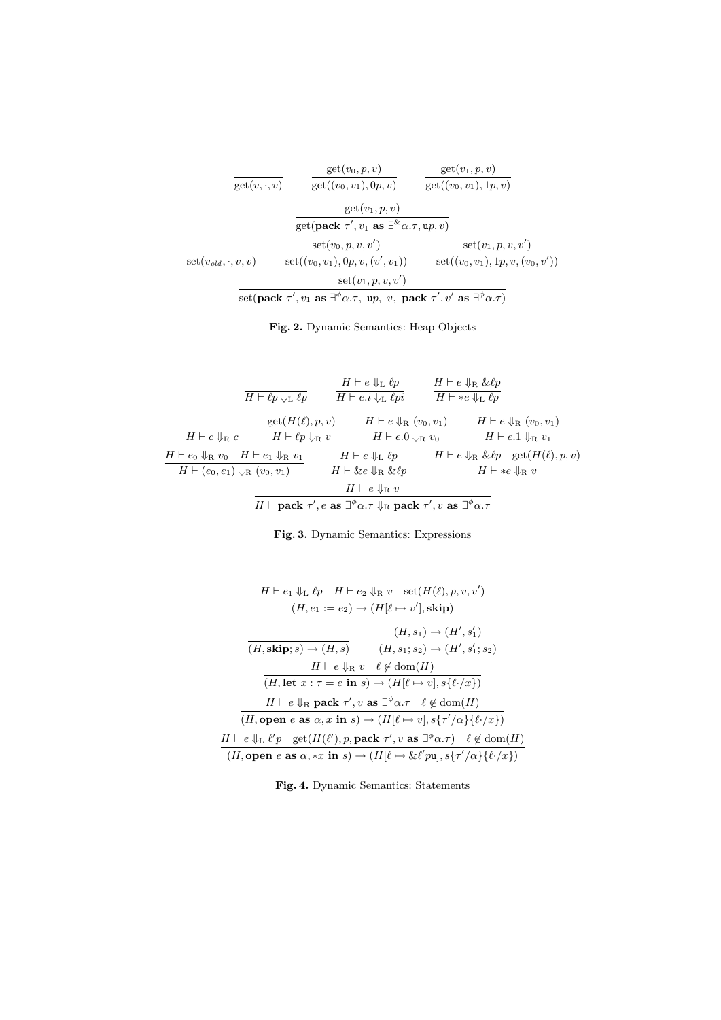get(v, ·, v) get(v0, p, v) get((v0, v1), 0p, v) get(v1, p, v) get((v0, v1), 1p, v) get(v1, p, v) get(pack τ 0 , v<sup>1</sup> as ∃ &α.τ, up, v) set(vold , ·, v, v) set(v0, p, v, v<sup>0</sup> ) set((v0, v1), 0p, v, (v 0 , v1)) set(v1, p, v, v<sup>0</sup> ) set((v0, v1), 1p, v, (v0, v<sup>0</sup> )) set(v1, p, v, v<sup>0</sup> )

 $\mathrm{set}(\mathbf{pack} \ \tau', v_1 \mathbf{ as } \ \exists^{\phi} \alpha.\tau, \ \mathtt{up}, \ v, \ \mathbf{pack} \ \tau', v' \mathbf{ as } \ \exists^{\phi} \alpha.\tau)$ 

Fig. 2. Dynamic Semantics: Heap Objects

$$
\frac{H \vdash e \Downarrow_{\mathcal{L}} \ell p}{H \vdash \ell p \Downarrow_{\mathcal{L}} \ell p} \qquad \frac{H \vdash e \Downarrow_{\mathcal{L}} \ell p}{H \vdash e.i \Downarrow_{\mathcal{L}} \ell pi} \qquad \frac{H \vdash e \Downarrow_{\mathcal{R}} \& \ell p}{H \vdash *e \Downarrow_{\mathcal{L}} \ell p}
$$
\n
$$
\frac{\text{get}(H(\ell), p, v)}{H \vdash c \Downarrow_{\mathcal{R}} v} \qquad \frac{H \vdash e \Downarrow_{\mathcal{R}} (v_0, v_1)}{H \vdash e.0 \Downarrow_{\mathcal{R}} v_0} \qquad \frac{H \vdash e \Downarrow_{\mathcal{R}} (v_0, v_1)}{H \vdash e.1 \Downarrow_{\mathcal{R}} v_1}
$$
\n
$$
\frac{H \vdash e_0 \Downarrow_{\mathcal{R}} v_0}{H \vdash (e_0, e_1) \Downarrow_{\mathcal{R}} (v_0, v_1)} \qquad \frac{H \vdash e \Downarrow_{\mathcal{L}} \ell p}{H \vdash \& e \Downarrow_{\mathcal{R}} \& \ell p} \qquad \frac{H \vdash e \Downarrow_{\mathcal{R}} \& \ell p}{H \vdash *e \Downarrow_{\mathcal{R}} v}
$$
\n
$$
\frac{H \vdash e \Downarrow_{\mathcal{R}} v}{H \vdash pack \tau', e \text{ as } \exists^{\phi} \alpha. \tau \Downarrow_{\mathcal{R}} pack \tau', v \text{ as } \exists^{\phi} \alpha. \tau}
$$

Fig. 3. Dynamic Semantics: Expressions

$$
\frac{H \vdash e_1 \Downarrow_L \ell p \quad H \vdash e_2 \Downarrow_R v \quad \text{set}(H(\ell), p, v, v')}{(H, e_1 := e_2) \rightarrow (H[\ell \rightarrow v'], \text{skip})}
$$
\n
$$
\frac{(H, s_1) \rightarrow (H', s_1')}{(H, \text{skip}; s) \rightarrow (H, s)} \qquad \frac{(H, s_1) \rightarrow (H', s_1')}{(H, s_1; s_2) \rightarrow (H', s_1'; s_2)}
$$
\n
$$
\frac{H \vdash e \Downarrow_R v \quad \ell \notin \text{dom}(H)}{(H, \text{let } x : \tau = e \text{ in } s) \rightarrow (H[\ell \rightarrow v], s\{\ell \cdot / x\})}
$$
\n
$$
\frac{H \vdash e \Downarrow_R \text{pack } \tau', v \text{ as } \exists^{\phi} \alpha. \tau \quad \ell \notin \text{dom}(H)}{(H, \text{open } e \text{ as } \alpha, x \text{ in } s) \rightarrow (H[\ell \rightarrow v], s\{\tau'/\alpha\}\{\ell \cdot / x\})}
$$
\n
$$
\frac{H \vdash e \Downarrow_L \ell' p \quad \text{get}(H(\ell'), p, \text{pack } \tau', v \text{ as } \exists^{\phi} \alpha. \tau) \quad \ell \notin \text{dom}(H)}{(H, \text{open } e \text{ as } \alpha, * x \text{ in } s) \rightarrow (H[\ell \mapsto \& \ell' \text{pu}], s\{\tau'/\alpha\}\{\ell \cdot / x\})}
$$

Fig. 4. Dynamic Semantics: Statements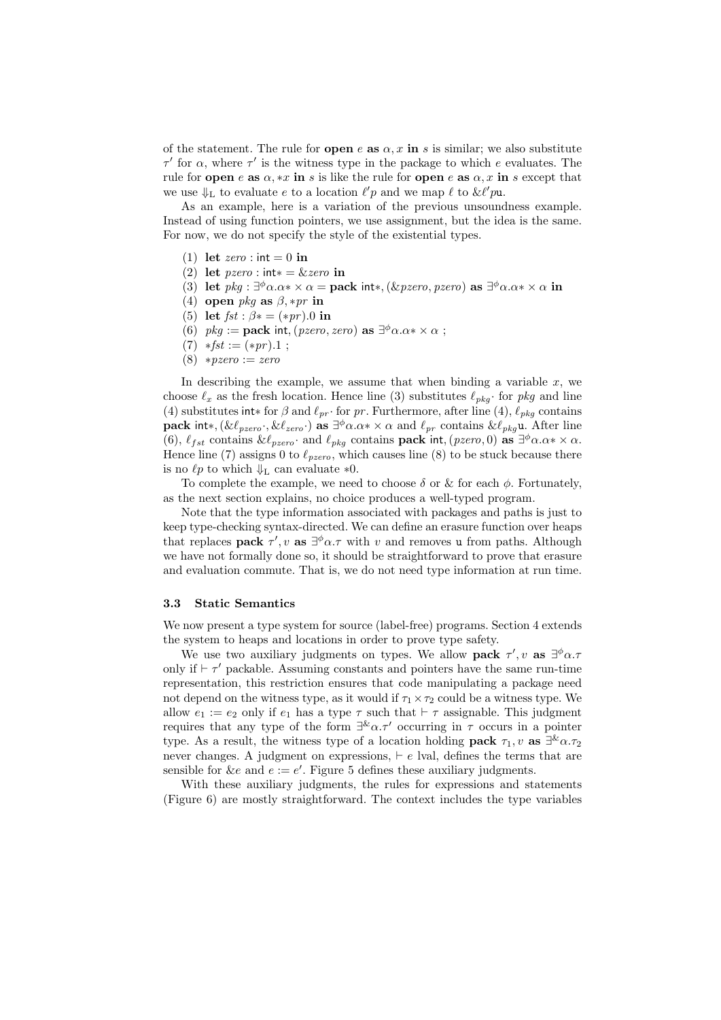of the statement. The rule for **open** e as  $\alpha$ , x in s is similar; we also substitute  $\tau'$  for  $\alpha$ , where  $\tau'$  is the witness type in the package to which e evaluates. The rule for **open** e as  $\alpha$ , \*x in s is like the rule for **open** e as  $\alpha$ , x in s except that we use  $\downarrow$ <sub>L</sub> to evaluate e to a location  $\ell' p$  and we map  $\ell$  to  $\& \ell' p$ **u**.

As an example, here is a variation of the previous unsoundness example. Instead of using function pointers, we use assignment, but the idea is the same. For now, we do not specify the style of the existential types.

- (1) let  $zero : int = 0$  in
- (2) let  $pzero : int* = \&zero$  in
- (3) let  $pkg : \exists^{\phi} \alpha . \alpha * \times \alpha =$  pack int\*, (& pzero, pzero) as  $\exists^{\phi} \alpha . \alpha * \times \alpha$  in
- (4) open  $pkg$  as  $\beta$ , \*pr in
- (5) let  $fst : \beta* = (*pr) . 0$  in
- (6)  $pkg := \textbf{pack}$  int, (pzero, zero) as  $\exists^{\phi} \alpha \ldots \alpha \times \alpha$ ;
- $(7) * fst := (*pr).1;$
- $(8) * pzero := zero$

In describing the example, we assume that when binding a variable  $x$ , we choose  $\ell_x$  as the fresh location. Hence line (3) substitutes  $\ell_{p,kg}$  for pkg and line (4) substitutes int\* for  $\beta$  and  $\ell_{pr}$  for pr. Furthermore, after line (4),  $\ell_{pkg}$  contains pack int\*,  $(\&\ell_{\text{pzero}}\cdot,\&\ell_{\text{zero}}\cdot)$  as  $\exists^{\phi}\alpha.\alpha* \times \alpha$  and  $\ell_{\text{pr}}$  contains  $\&\ell_{\text{pkg}}$ u. After line (6),  $\ell_{fst}$  contains  $\&\ell_{pzero}$ · and  $\ell_{pkg}$  contains **pack** int, (pzero, 0) as  $\exists^{\phi}\alpha.\alpha*\times\alpha$ . Hence line (7) assigns 0 to  $\ell_{pzero}$ , which causes line (8) to be stuck because there is no  $\ell p$  to which  $\Downarrow$ <sub>L</sub> can evaluate ∗0.

To complete the example, we need to choose  $\delta$  or  $\&$  for each  $\phi$ . Fortunately, as the next section explains, no choice produces a well-typed program.

Note that the type information associated with packages and paths is just to keep type-checking syntax-directed. We can define an erasure function over heaps that replaces **pack**  $\tau'$ , v **as**  $\exists^{\phi} \alpha \cdot \tau$  with v and removes **u** from paths. Although we have not formally done so, it should be straightforward to prove that erasure and evaluation commute. That is, we do not need type information at run time.

#### 3.3 Static Semantics

We now present a type system for source (label-free) programs. Section 4 extends the system to heaps and locations in order to prove type safety.

We use two auxiliary judgments on types. We allow **pack**  $\tau'$ , v as  $\exists^{\phi} \alpha$ . only if  $\vdash \tau'$  packable. Assuming constants and pointers have the same run-time representation, this restriction ensures that code manipulating a package need not depend on the witness type, as it would if  $\tau_1 \times \tau_2$  could be a witness type. We allow  $e_1 := e_2$  only if  $e_1$  has a type  $\tau$  such that  $\vdash \tau$  assignable. This judgment requires that any type of the form  $\exists^k \alpha.\tau'$  occurring in  $\tau$  occurs in a pointer type. As a result, the witness type of a location holding **pack**  $\tau_1$ , v as  $\exists^k \alpha \cdot \tau_2$ never changes. A judgment on expressions,  $\vdash e$  lval, defines the terms that are sensible for  $\&e$  and  $e := e'$ . Figure 5 defines these auxiliary judgments.

With these auxiliary judgments, the rules for expressions and statements (Figure 6) are mostly straightforward. The context includes the type variables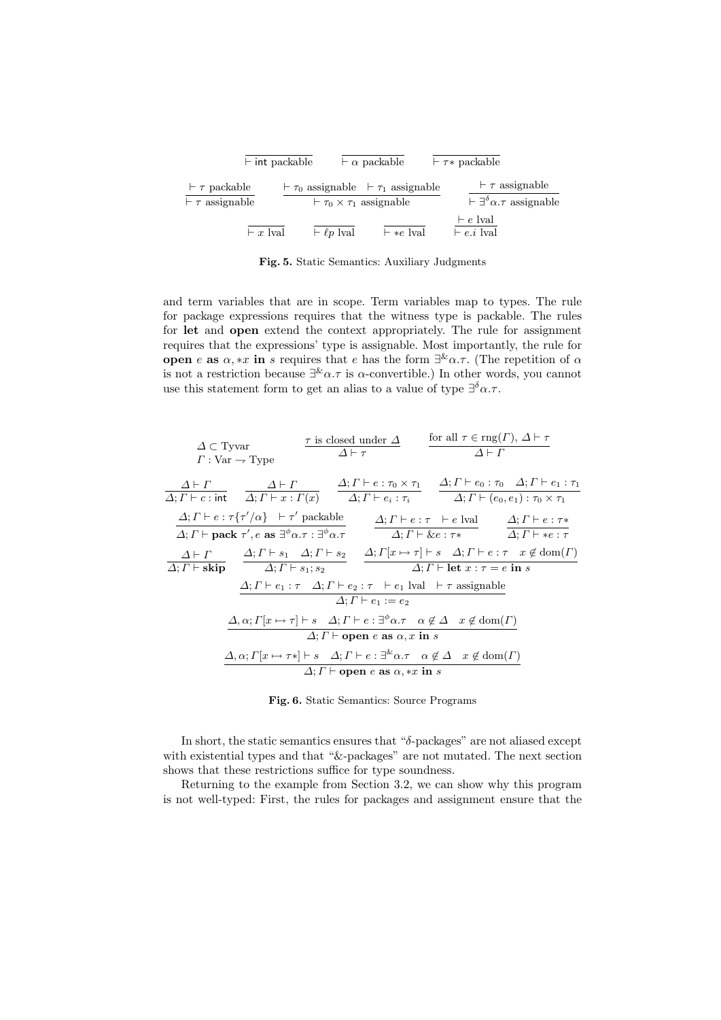|                          | $\vdash$ int packable | $\vdash \alpha$ packable                              |                  | $\vdash \tau *$ packable                                   |
|--------------------------|-----------------------|-------------------------------------------------------|------------------|------------------------------------------------------------|
| $\vdash \tau$ packable   |                       | $\vdash \tau_0$ assignable $\vdash \tau_1$ assignable |                  | $\vdash \tau$ assignable                                   |
| $\vdash \tau$ assignable |                       | $\vdash \tau_0 \times \tau_1$ assignable              |                  | $\vdash \exists^{\delta} \alpha . \tau \text{ assignable}$ |
|                          | $\vdash x$ lval       | $\vdash \ell p$ lval                                  | $\vdash *e$ lval | $\vdash e$ lval<br>$\vdash e.i$ lval                       |

Fig. 5. Static Semantics: Auxiliary Judgments

and term variables that are in scope. Term variables map to types. The rule for package expressions requires that the witness type is packable. The rules for let and open extend the context appropriately. The rule for assignment requires that the expressions' type is assignable. Most importantly, the rule for open e as  $\alpha$ , \*x in s requires that e has the form  $\exists^{\&}\alpha.\tau$ . (The repetition of  $\alpha$ is not a restriction because  $\exists^{\&}\alpha.\tau$  is  $\alpha$ -convertible.) In other words, you cannot use this statement form to get an alias to a value of type  $\exists^{\delta} \alpha.\tau$ .

| $\Delta \subset$ Tyvar<br>$\Gamma: \text{Var} \rightarrow \text{Type}$                                                                                                                               |                                                                                                                                                                                                        | $\tau$ is closed under $\Delta$<br>$\Delta \vdash \tau$   | for all $\tau \in \text{rng}(\Gamma)$ , $\Delta \vdash \tau$<br>$\Delta \vdash \Gamma$ |                                                                                                                                                                   |
|------------------------------------------------------------------------------------------------------------------------------------------------------------------------------------------------------|--------------------------------------------------------------------------------------------------------------------------------------------------------------------------------------------------------|-----------------------------------------------------------|----------------------------------------------------------------------------------------|-------------------------------------------------------------------------------------------------------------------------------------------------------------------|
| $\overline{\Delta; \Gamma \vdash c : \textsf{int}} \quad \Delta; \Gamma \vdash x : \Gamma(x) \quad \Delta; \Gamma \vdash e_i : \tau_i \quad \Delta; \Gamma \vdash (e_0, e_1) : \tau_0 \times \tau_1$ | $\Delta \vdash \Gamma \qquad \quad \Delta \vdash \Gamma \qquad \quad \Delta; \Gamma \vdash e : \tau_0 \times \tau_1 \quad \Delta; \Gamma \vdash e_0 : \tau_0 \quad \Delta; \Gamma \vdash e_1 : \tau_1$ |                                                           |                                                                                        |                                                                                                                                                                   |
| $\Delta; \Gamma \vdash \textbf{pack } \tau', e \textbf{ as } \exists^{\phi} \alpha. \tau : \exists^{\phi} \alpha. \tau$                                                                              | $\Delta; \Gamma \vdash e : \tau \{\tau'/\alpha\} \vdash \tau'$ packable                                                                                                                                |                                                           |                                                                                        | $\Delta; \Gamma \vdash e : \tau \vdash e$ lval $\Delta; \Gamma \vdash e : \tau *$<br>$\Delta; \Gamma \vdash \& e : \tau * \qquad \Delta; \Gamma \vdash *e : \tau$ |
| $\overline{\Delta; \Gamma \vdash \mathbf{skip}} \qquad \Delta; \Gamma \vdash s_1; s_2$                                                                                                               | $\Delta \vdash \Gamma$ $\Delta; \Gamma \vdash s_1 \Delta; \Gamma \vdash s_2 \Delta; \Gamma[x \mapsto \tau] \vdash s \Delta; \Gamma \vdash e : \tau \ x \notin \text{dom}(\Gamma)$                      |                                                           | $\Delta$ : $\Gamma$ + let $x : \tau = e$ in s                                          |                                                                                                                                                                   |
|                                                                                                                                                                                                      | $\Delta; \Gamma \vdash e_1 : \tau \Delta; \Gamma \vdash e_2 : \tau \vdash e_1$ lval $\vdash \tau$ assignable                                                                                           | $\Delta: \Gamma \vdash e_1 := e_2$                        |                                                                                        |                                                                                                                                                                   |
|                                                                                                                                                                                                      | $\Delta, \alpha; \Gamma[x \mapsto \tau] \vdash s \quad \Delta; \Gamma \vdash e : \exists^{\phi} \alpha. \tau \quad \alpha \notin \Delta \quad x \notin \text{dom}(\Gamma)$                             | $\Delta; \Gamma \vdash$ open e as $\alpha, x$ in s        |                                                                                        |                                                                                                                                                                   |
|                                                                                                                                                                                                      | $\Delta, \alpha; \Gamma[x \mapsto \tau^*] \vdash s \quad \Delta; \Gamma \vdash e : \exists^{\&}\alpha.\tau \quad \alpha \notin \Delta \quad x \notin \text{dom}(\Gamma)$                               | $\Delta$ ; $\Gamma$ $\vdash$ open e as $\alpha$ , *x in s |                                                                                        |                                                                                                                                                                   |

Fig. 6. Static Semantics: Source Programs

In short, the static semantics ensures that "δ-packages" are not aliased except with existential types and that "&-packages" are not mutated. The next section shows that these restrictions suffice for type soundness.

Returning to the example from Section 3.2, we can show why this program is not well-typed: First, the rules for packages and assignment ensure that the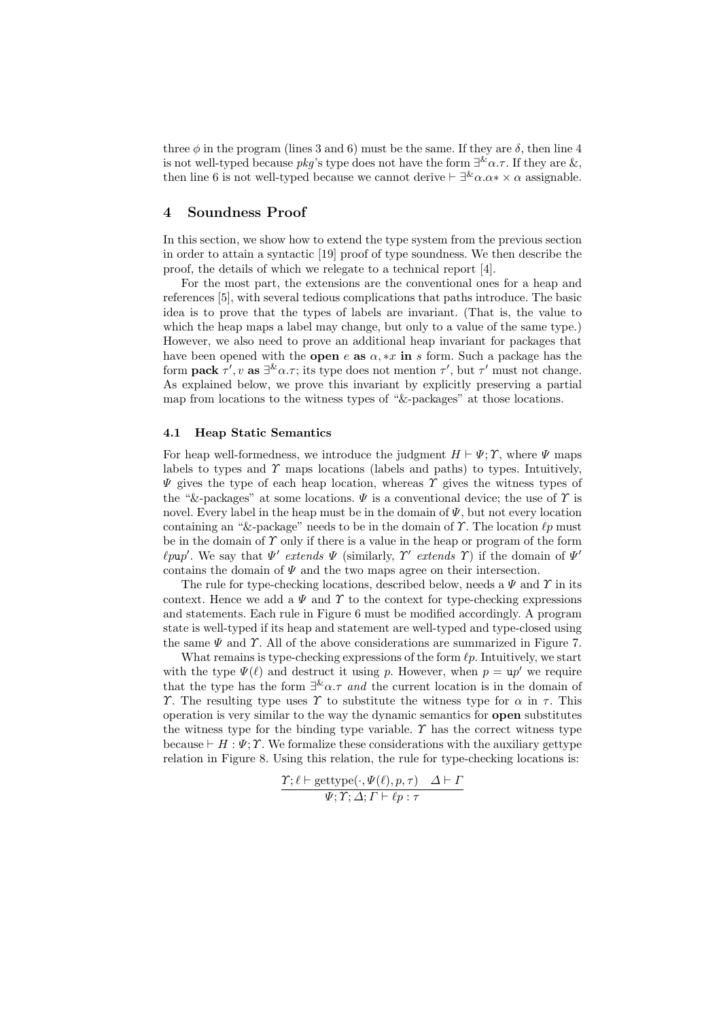three  $\phi$  in the program (lines 3 and 6) must be the same. If they are  $\delta$ , then line 4 is not well-typed because  $pkg$ 's type does not have the form  $\exists^{\&}\alpha.\tau$ . If they are  $\&$ , then line 6 is not well-typed because we cannot derive  $\vdash \exists^{\&}\alpha.\alpha \ast \times \alpha$  assignable.

## 4 Soundness Proof

In this section, we show how to extend the type system from the previous section in order to attain a syntactic [19] proof of type soundness. We then describe the proof, the details of which we relegate to a technical report [4].

For the most part, the extensions are the conventional ones for a heap and references [5], with several tedious complications that paths introduce. The basic idea is to prove that the types of labels are invariant. (That is, the value to which the heap maps a label may change, but only to a value of the same type.) However, we also need to prove an additional heap invariant for packages that have been opened with the **open** e as  $\alpha$ , \*x in s form. Such a package has the form **pack**  $\tau'$ ,  $v$  as  $\exists^{\&}\alpha.\tau$ ; its type does not mention  $\tau'$ , but  $\tau'$  must not change. As explained below, we prove this invariant by explicitly preserving a partial map from locations to the witness types of "&-packages" at those locations.

### 4.1 Heap Static Semantics

For heap well-formedness, we introduce the judgment  $H \vdash \Psi; \Upsilon$ , where  $\Psi$  maps labels to types and  $\gamma$  maps locations (labels and paths) to types. Intuitively,  $\Psi$  gives the type of each heap location, whereas  $\Upsilon$  gives the witness types of the "&-packages" at some locations.  $\Psi$  is a conventional device; the use of  $\Upsilon$  is novel. Every label in the heap must be in the domain of  $\Psi$ , but not every location containing an "&-package" needs to be in the domain of  $\gamma$ . The location  $\ell p$  must be in the domain of  $\gamma$  only if there is a value in the heap or program of the form lpup'. We say that  $\Psi'$  extends  $\Psi$  (similarly,  $\Upsilon'$  extends  $\Upsilon$ ) if the domain of  $\Psi'$ contains the domain of  $\Psi$  and the two maps agree on their intersection.

The rule for type-checking locations, described below, needs a  $\Psi$  and  $\Upsilon$  in its context. Hence we add a  $\Psi$  and  $\Upsilon$  to the context for type-checking expressions and statements. Each rule in Figure 6 must be modified accordingly. A program state is well-typed if its heap and statement are well-typed and type-closed using the same  $\Psi$  and  $\Upsilon$ . All of the above considerations are summarized in Figure 7.

What remains is type-checking expressions of the form  $\ell p$ . Intuitively, we start with the type  $\Psi(\ell)$  and destruct it using p. However, when  $p = \mathbf{u}p'$  we require that the type has the form  $\exists^k \alpha \tau$  and the current location is in the domain of T. The resulting type uses T to substitute the witness type for  $\alpha$  in  $\tau$ . This operation is very similar to the way the dynamic semantics for open substitutes the witness type for the binding type variable.  $\gamma$  has the correct witness type because  $\vdash H : \Psi; \Upsilon$ . We formalize these considerations with the auxiliary gettype relation in Figure 8. Using this relation, the rule for type-checking locations is:

$$
\frac{\varUpsilon; \ell \vdash \textrm{gettype}(\cdot, \varPsi(\ell), p, \tau) \quad \varDelta \vdash \varGamma}{\varPsi; \varUpsilon; \varDelta; \varGamma \vdash \ell p : \tau}
$$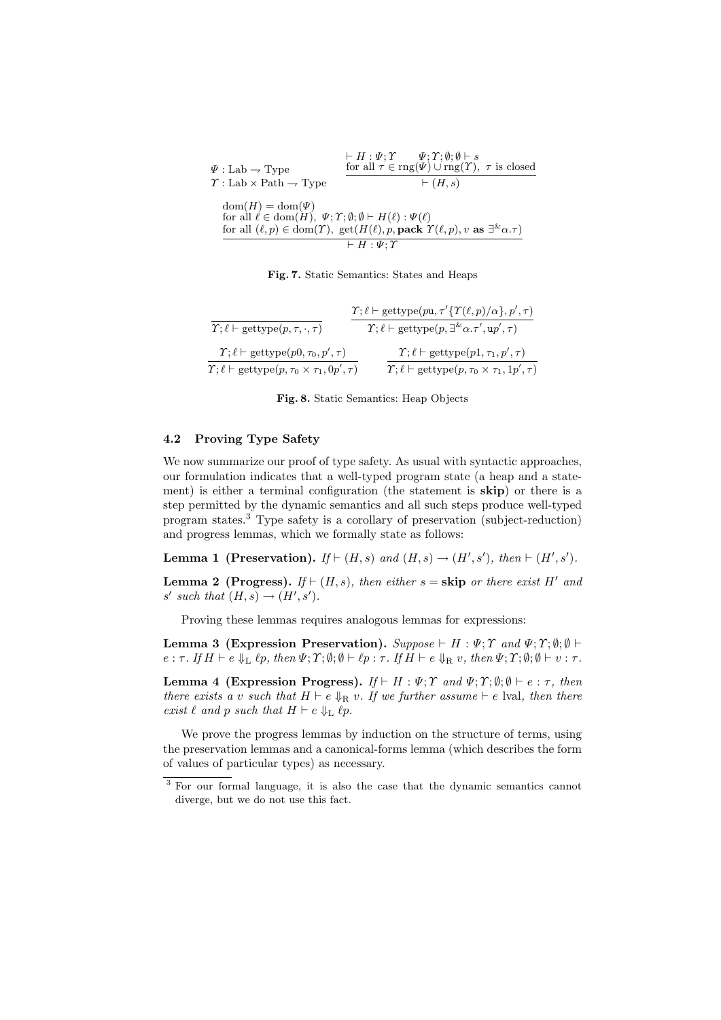| $\Psi: \text{Lab} \rightarrow \text{Type}$                                                                                                                                                               | $\vdash H : \Psi; \Upsilon \qquad \Psi; \Upsilon; \emptyset; \emptyset \vdash s$<br>for all $\tau \in \text{rng}(\Psi) \cup \text{rng}(\Upsilon)$ , $\tau$ is closed |  |
|----------------------------------------------------------------------------------------------------------------------------------------------------------------------------------------------------------|----------------------------------------------------------------------------------------------------------------------------------------------------------------------|--|
| $\Upsilon$ : Lab $\times$ Path $\rightarrow$ Type                                                                                                                                                        | $\vdash$ $(H, s)$                                                                                                                                                    |  |
| $\begin{array}{l} \mathrm{dom}(H)=\mathrm{dom}(\varPsi)\\ \mathrm{for} \ \mathrm{all} \ \ell\in \mathrm{dom}(H), \ \varPsi; \varUpsilon; \emptyset; \emptyset \vdash H(\ell): \varPsi(\ell) \end{array}$ | for all $(\ell, p) \in \text{dom}(\Upsilon)$ , $\text{get}(H(\ell), p, \text{pack } \Upsilon(\ell, p), v \text{ as } \exists^k \alpha. \tau)$                        |  |
| $\vdash H : \Psi : \Upsilon$                                                                                                                                                                             |                                                                                                                                                                      |  |

Fig. 7. Static Semantics: States and Heaps

| $\gamma; \ell \vdash \text{gettype}(p, \tau, \cdot, \tau)$                    | $\varUpsilon;\ell \vdash \mathsf{gettype}(p\mathtt{u},\tau'\{\varUpsilon(\ell,p)/\alpha\},p',\tau)$<br>$\Upsilon$ ; $\ell \vdash \text{gettype}(p, \exists^{\&}\alpha.\tau', \text{up}', \tau)$ |
|-------------------------------------------------------------------------------|-------------------------------------------------------------------------------------------------------------------------------------------------------------------------------------------------|
| $\gamma; \ell \vdash \text{gettype}(p0, \tau_0, p', \tau)$                    | $\gamma; \ell \vdash \text{gettype}(p1, \tau_1, p', \tau)$                                                                                                                                      |
| $\Upsilon$ ; $\ell \vdash \text{gettype}(p, \tau_0 \times \tau_1, 0p', \tau)$ | $\gamma; \ell \vdash \text{gettype}(p, \tau_0 \times \tau_1, 1p', \tau)$                                                                                                                        |

Fig. 8. Static Semantics: Heap Objects

### 4.2 Proving Type Safety

We now summarize our proof of type safety. As usual with syntactic approaches, our formulation indicates that a well-typed program state (a heap and a statement) is either a terminal configuration (the statement is **skip**) or there is a step permitted by the dynamic semantics and all such steps produce well-typed program states.<sup>3</sup> Type safety is a corollary of preservation (subject-reduction) and progress lemmas, which we formally state as follows:

**Lemma 1 (Preservation).** If  $\vdash$   $(H, s)$  and  $(H, s) \rightarrow (H', s')$ , then  $\vdash$   $(H', s')$ .

**Lemma 2 (Progress).** If  $\vdash$  (H, s), then either  $s =$ **skip** or there exist H' and s' such that  $(H, s) \rightarrow (H', s')$ .

Proving these lemmas requires analogous lemmas for expressions:

Lemma 3 (Expression Preservation).  $Suppose \vdash H : \Psi; \Upsilon \text{ and } \Psi; \Upsilon; \emptyset; \emptyset \vdash$  $e : \tau$ . If  $H \vdash e \Downarrow_L \ell_p$ , then  $\Psi; \Upsilon; \emptyset; \emptyset \vdash \ell_p : \tau$ . If  $H \vdash e \Downarrow_R v$ , then  $\Psi; \Upsilon; \emptyset; \emptyset \vdash v : \tau$ .

Lemma 4 (Expression Progress). If  $\vdash H : \Psi; \Upsilon$  and  $\Psi; \Upsilon; \emptyset; \emptyset \vdash e : \tau$ , then there exists a v such that  $H \vdash e \Downarrow_R v$ . If we further assume  $\vdash e$  lval, then there exist  $\ell$  and p such that  $H \vdash e \Downarrow_L \ell p$ .

We prove the progress lemmas by induction on the structure of terms, using the preservation lemmas and a canonical-forms lemma (which describes the form of values of particular types) as necessary.

<sup>3</sup> For our formal language, it is also the case that the dynamic semantics cannot diverge, but we do not use this fact.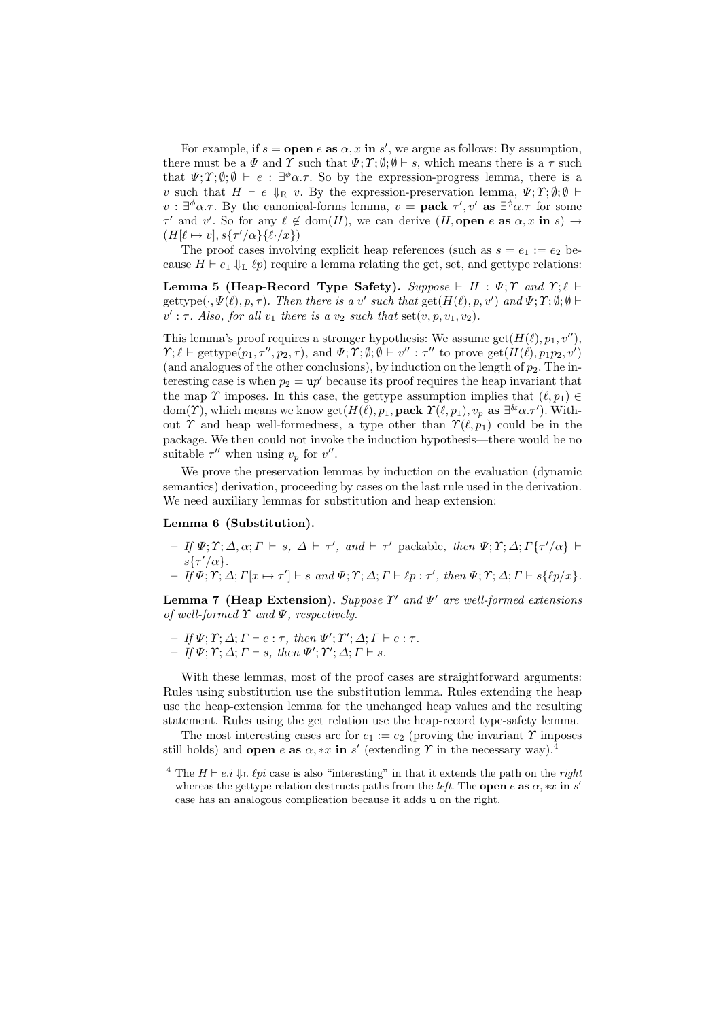For example, if  $s =$ **open**  $e$  **as**  $\alpha$ ,  $x$  **in**  $s'$ , we argue as follows: By assumption, there must be a  $\Psi$  and  $\Upsilon$  such that  $\Psi$ ;  $\Upsilon$ ;  $\emptyset$ ;  $\emptyset \vdash s$ , which means there is a  $\tau$  such that  $\Psi; \Upsilon; \emptyset; \emptyset \vdash e : \exists^{\phi} \alpha. \tau$ . So by the expression-progress lemma, there is a v such that  $H \vdash e \Downarrow_R v$ . By the expression-preservation lemma,  $\Psi; \Upsilon; \emptyset; \emptyset \vdash$  $v : \exists^{\phi} \alpha . \tau$ . By the canonical-forms lemma,  $v = \textbf{pack} \tau', v'$  as  $\exists^{\phi} \alpha . \tau$  for some  $\tau'$  and v'. So for any  $\ell \notin \text{dom}(H)$ , we can derive  $(H, \text{open } e \text{ as } \alpha, x \text{ in } s) \to$  $(H[\ell \mapsto v], s\{\tau'/\alpha\}\{\ell \cdot /x\})$ 

The proof cases involving explicit heap references (such as  $s = e_1 := e_2$  because  $H \vdash e_1 \Downarrow_L \ell_p$ ) require a lemma relating the get, set, and gettype relations:

Lemma 5 (Heap-Record Type Safety). Suppose  $\vdash H : \Psi; \Upsilon$  and  $\Upsilon; \ell \vdash$ gettype $(\cdot, \Psi(\ell), p, \tau)$ . Then there is a v' such that  $\text{get}(H(\ell), p, v')$  and  $\Psi; \Upsilon; \emptyset; \emptyset \vdash$  $v' : \tau$ . Also, for all  $v_1$  there is a  $v_2$  such that  $set(v, p, v_1, v_2)$ .

This lemma's proof requires a stronger hypothesis: We assume  $get(H(\ell), p_1, v'')$ ,  $\gamma$ ;  $\ell \vdash \text{gettype}(p_1, \tau'', p_2, \tau)$ , and  $\Psi$ ;  $\gamma$ ;  $\emptyset$ ;  $\emptyset \vdash v'' : \tau''$  to prove  $\text{get}(H(\ell), p_1p_2, v')$ (and analogues of the other conclusions), by induction on the length of  $p_2$ . The interesting case is when  $p_2 = \mathbf{u}p'$  because its proof requires the heap invariant that the map  $\Upsilon$  imposes. In this case, the gettype assumption implies that  $(\ell, p_1) \in$ dom(*T*), which means we know get( $H(\ell), p_1$ , pack  $\Upsilon(\ell, p_1), v_p$  as  $\exists^k \alpha \cdot \tau'$ ). Without  $\Upsilon$  and heap well-formedness, a type other than  $\Upsilon(\ell, p_1)$  could be in the package. We then could not invoke the induction hypothesis—there would be no suitable  $\tau''$  when using  $v_p$  for  $v''$ .

We prove the preservation lemmas by induction on the evaluation (dynamic semantics) derivation, proceeding by cases on the last rule used in the derivation. We need auxiliary lemmas for substitution and heap extension:

### Lemma 6 (Substitution).

- If  $\Psi; \Upsilon; \Delta, \alpha; \Gamma \vdash s, \Delta \vdash \tau', \text{ and } \vdash \tau' \text{ package, then } \Psi; \Upsilon; \Delta; \Gamma\{\tau' / \alpha\} \vdash$  $s\{\tau$  $\prime/\alpha$ .  $-I\!f \Psi; \varUpsilon; \Delta; \varGamma[x \mapsto \tau'] \vdash s \text{ and } \Psi; \varUpsilon; \Delta; \varGamma \vdash \ell p : \tau', \text{ then } \Psi; \varUpsilon; \Delta; \varGamma \vdash s \{\ell p/x\}.$ 

**Lemma 7 (Heap Extension).** Suppose  $\Upsilon'$  and  $\Psi'$  are well-formed extensions of well-formed  $\Upsilon$  and  $\Psi$ , respectively.

- $-If \Psi; \Upsilon; \Delta; \Gamma \vdash e : \tau, \text{ then } \Psi'; \Upsilon'; \Delta; \Gamma \vdash e : \tau.$
- $-If \Psi; \Upsilon; \Delta; \Gamma \vdash s, \text{ then } \Psi'; \Upsilon'; \Delta; \Gamma \vdash s.$

With these lemmas, most of the proof cases are straightforward arguments: Rules using substitution use the substitution lemma. Rules extending the heap use the heap-extension lemma for the unchanged heap values and the resulting statement. Rules using the get relation use the heap-record type-safety lemma.

The most interesting cases are for  $e_1 := e_2$  (proving the invariant  $\Upsilon$  imposes still holds) and **open** e as  $\alpha$ , \*x in s' (extending Y in the necessary way).<sup>4</sup>

<sup>&</sup>lt;sup>4</sup> The  $H \vdash e.i \Downarrow_L \ell pi$  case is also "interesting" in that it extends the path on the right whereas the gettype relation destructs paths from the *left*. The **open** e as  $\alpha$ , \*x in s' case has an analogous complication because it adds u on the right.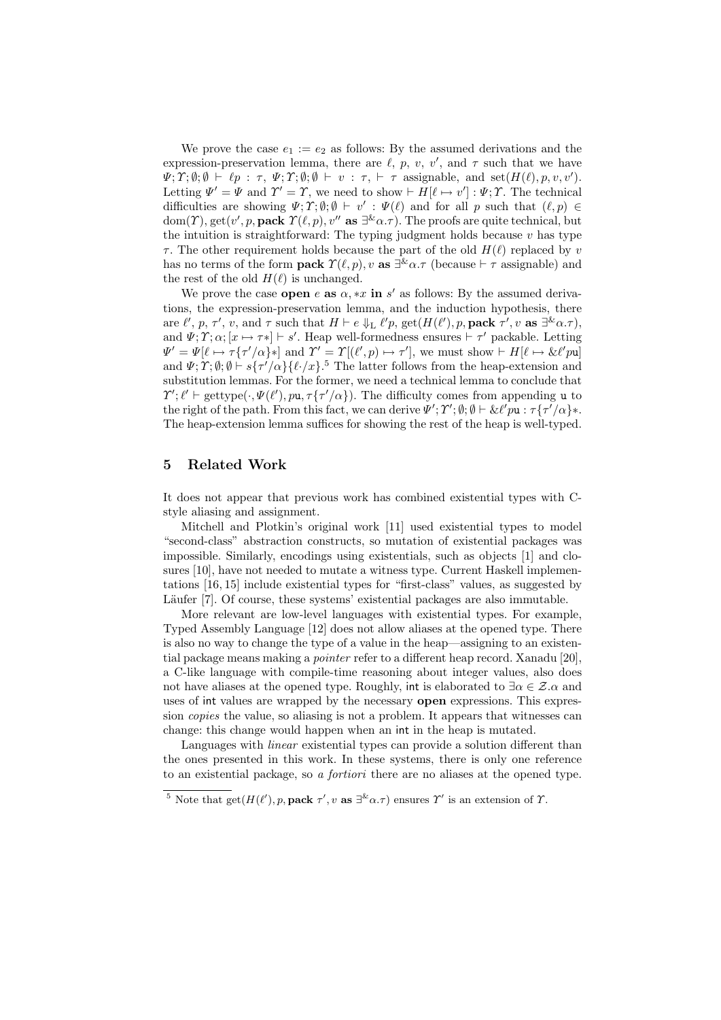We prove the case  $e_1 := e_2$  as follows: By the assumed derivations and the expression-preservation lemma, there are  $\ell$ , p, v, v', and  $\tau$  such that we have  $\Psi; \Upsilon; \emptyset; \emptyset \vdash \ell p : \tau, \Psi; \Upsilon; \emptyset; \emptyset \vdash v : \tau, \vdash \tau \text{ assignable, and } \text{set}(H(\ell), p, v, v').$ Letting  $\Psi' = \Psi$  and  $\Upsilon' = \Upsilon$ , we need to show  $\vdash H[\ell \mapsto v'] : \Psi; \Upsilon$ . The technical difficulties are showing  $\Psi$ ;  $\Upsilon$ ;  $\emptyset$ ;  $\emptyset \vdash v' : \Psi(\ell)$  and for all p such that  $(\ell, p) \in$ dom(T), get(v', p, pack  $\Upsilon(\ell, p)$ , v'' as  $\exists^{\&}\alpha.\tau$ ). The proofs are quite technical, but the intuition is straightforward: The typing judgment holds because  $v$  has type  $\tau$ . The other requirement holds because the part of the old  $H(\ell)$  replaced by v has no terms of the form **pack**  $\Upsilon(\ell, p)$ , v as  $\exists^{\&}\alpha.\tau$  (because  $\vdash \tau$  assignable) and the rest of the old  $H(\ell)$  is unchanged.

We prove the case open e as  $\alpha, *x$  in s' as follows: By the assumed derivations, the expression-preservation lemma, and the induction hypothesis, there are  $\ell', p, \tau', v$ , and  $\tau$  such that  $H \vdash e \Downarrow_L \ell' p$ ,  $\text{get}(H(\ell'), p$ , **pack**  $\tau', v$  as  $\exists^{\&}\alpha.\tau$ ), and  $\Psi; \Upsilon; \alpha; [x \mapsto \tau^*] \vdash s'.$  Heap well-formedness ensures  $\vdash \tau'$  packable. Letting  $\Psi' = \Psi[\ell \mapsto \tau\{\tau'/\alpha\}^*]$  and  $\Upsilon' = \Upsilon[(\ell', p) \mapsto \tau']$ , we must show  $\vdash H[\ell \mapsto \& \ell'pu]$ and  $\Psi$ ;  $\gamma$ ;  $\emptyset$ ;  $\emptyset \vdash s\{\tau'/\alpha\}\{\ell \cdot x\}$ .<sup>5</sup> The latter follows from the heap-extension and substitution lemmas. For the former, we need a technical lemma to conclude that  $\gamma'; \ell' \vdash \text{gettype}(\cdot, \Psi(\ell'), pu, \tau\{\tau'/\alpha\})$ . The difficulty comes from appending u to the right of the path. From this fact, we can derive  $\Psi'; \Upsilon'; \emptyset; \emptyset \vdash \& \ell'p\mathbf{u} : \tau\{\tau'/\alpha\}*.$ The heap-extension lemma suffices for showing the rest of the heap is well-typed.

## 5 Related Work

It does not appear that previous work has combined existential types with Cstyle aliasing and assignment.

Mitchell and Plotkin's original work [11] used existential types to model "second-class" abstraction constructs, so mutation of existential packages was impossible. Similarly, encodings using existentials, such as objects [1] and closures [10], have not needed to mutate a witness type. Current Haskell implementations [16, 15] include existential types for "first-class" values, as suggested by Läufer [7]. Of course, these systems' existential packages are also immutable.

More relevant are low-level languages with existential types. For example, Typed Assembly Language [12] does not allow aliases at the opened type. There is also no way to change the type of a value in the heap—assigning to an existential package means making a pointer refer to a different heap record. Xanadu [20], a C-like language with compile-time reasoning about integer values, also does not have aliases at the opened type. Roughly, int is elaborated to  $\exists \alpha \in \mathcal{Z}.\alpha$  and uses of int values are wrapped by the necessary open expressions. This expression copies the value, so aliasing is not a problem. It appears that witnesses can change: this change would happen when an int in the heap is mutated.

Languages with linear existential types can provide a solution different than the ones presented in this work. In these systems, there is only one reference to an existential package, so a fortiori there are no aliases at the opened type.

<sup>&</sup>lt;sup>5</sup> Note that get $(H(\ell'), p$ , pack  $\tau', v$  as  $\exists^k \alpha.\tau$ ) ensures  $\Upsilon'$  is an extension of  $\Upsilon$ .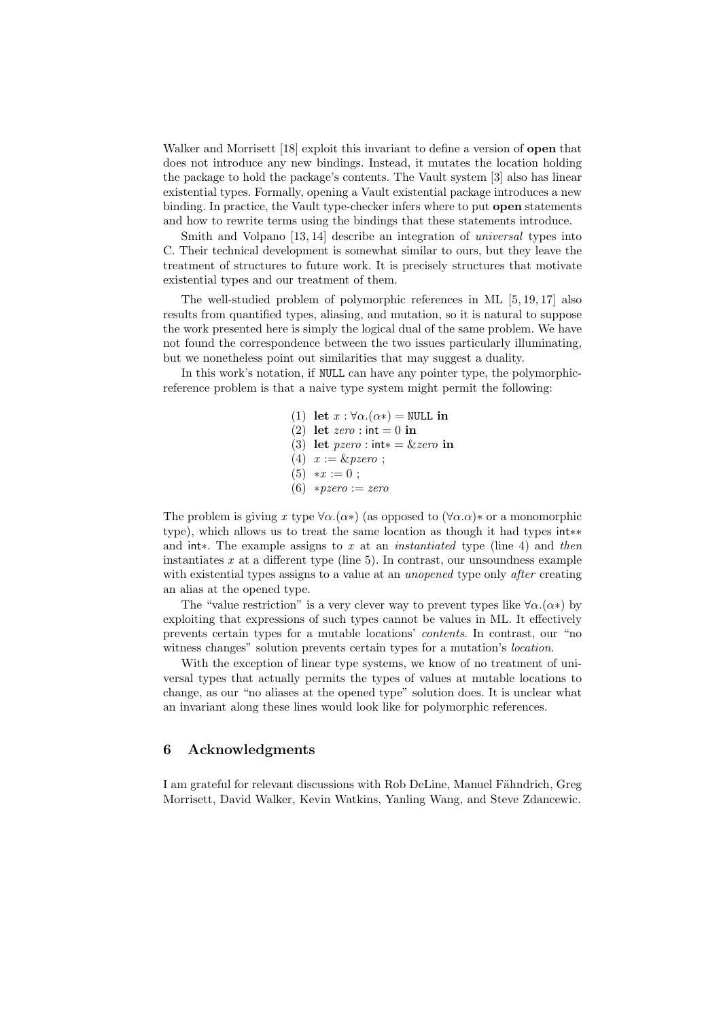Walker and Morrisett [18] exploit this invariant to define a version of **open** that does not introduce any new bindings. Instead, it mutates the location holding the package to hold the package's contents. The Vault system [3] also has linear existential types. Formally, opening a Vault existential package introduces a new binding. In practice, the Vault type-checker infers where to put open statements and how to rewrite terms using the bindings that these statements introduce.

Smith and Volpano [13, 14] describe an integration of *universal* types into C. Their technical development is somewhat similar to ours, but they leave the treatment of structures to future work. It is precisely structures that motivate existential types and our treatment of them.

The well-studied problem of polymorphic references in ML [5, 19, 17] also results from quantified types, aliasing, and mutation, so it is natural to suppose the work presented here is simply the logical dual of the same problem. We have not found the correspondence between the two issues particularly illuminating, but we nonetheless point out similarities that may suggest a duality.

In this work's notation, if NULL can have any pointer type, the polymorphicreference problem is that a naive type system might permit the following:

- (1) let  $x : \forall \alpha.(\alpha*) = \text{NULL}$  in
- (2) let  $zero : \text{int} = 0 \text{ in}$
- (3) let  $pzero : int* = \&zero$  in
- (4)  $x := \& \text{ pzero}$ ;
- $(5) *x := 0$ ;
- (6)  $*$ *pzero* := *zero*

The problem is giving x type  $\forall \alpha.(\alpha*)$  (as opposed to  $(\forall \alpha.\alpha)*$  or a monomorphic type), which allows us to treat the same location as though it had types int∗∗ and int∗. The example assigns to x at an instantiated type (line 4) and then instantiates  $x$  at a different type (line 5). In contrast, our unsoundness example with existential types assigns to a value at an *unopened* type only *after* creating an alias at the opened type.

The "value restriction" is a very clever way to prevent types like  $\forall \alpha.(\alpha*)$  by exploiting that expressions of such types cannot be values in ML. It effectively prevents certain types for a mutable locations' contents. In contrast, our "no witness changes" solution prevents certain types for a mutation's *location*.

With the exception of linear type systems, we know of no treatment of universal types that actually permits the types of values at mutable locations to change, as our "no aliases at the opened type" solution does. It is unclear what an invariant along these lines would look like for polymorphic references.

## 6 Acknowledgments

I am grateful for relevant discussions with Rob DeLine, Manuel Fähndrich, Greg Morrisett, David Walker, Kevin Watkins, Yanling Wang, and Steve Zdancewic.